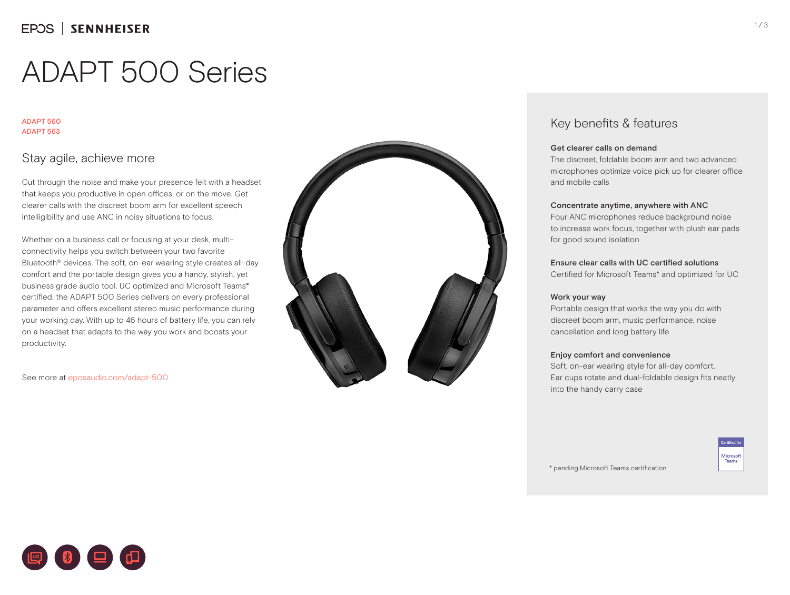# ADAPT 500 Series

#### ADAPT 560 ADAPT 563

## Stay agile, achieve more

Cut through the noise and make your presence felt with a headset that keeps you productive in open offices, or on the move. Get clearer calls with the discreet boom arm for excellent speech intelligibility and use ANC in noisy situations to focus.

Whether on a business call or focusing at your desk, multiconnectivity helps you switch between your two favorite Bluetooth® devices. The soft, on-ear wearing style creates all-day comfort and the portable design gives you a handy, stylish, yet business grade audio tool. UC optimized and Microsoft Teams\* certified, the ADAPT 500 Series delivers on every professional parameter and offers excellent stereo music performance during your working day. With up to 46 hours of battery life, you can rely on a headset that adapts to the way you work and boosts your productivity.

See more at eposaudio.com/adapt-500



### Key benefits & features

#### Get clearer calls on demand

The discreet, foldable boom arm and two advanced microphones optimize voice pick up for clearer office and mobile calls

#### Concentrate anytime, anywhere with ANC

Four ANC microphones reduce background noise to increase work focus, together with plush ear pads for good sound isolation

#### Ensure clear calls with UC certified solutions

Certified for Microsoft Teams\* and optimized for UC

#### Work your way

Portable design that works the way you do with discreet boom arm, music performance, noise cancellation and long battery life

#### Enjoy comfort and convenience

Soft, on-ear wearing style for all-day comfort. Ear cups rotate and dual-foldable design fits neatly into the handy carry case

> Microsoft Teams

\* pending Microsoft Teams certification



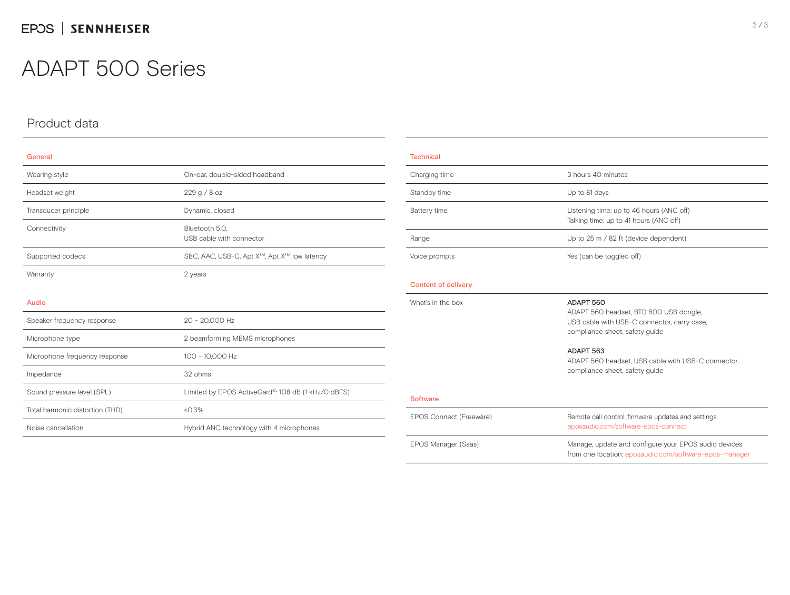## ADAPT 500 Series

## Product data

| General                         |                                                    |  |
|---------------------------------|----------------------------------------------------|--|
| Wearing style                   | On-ear, double-sided headband                      |  |
| Headset weight                  | 229 g / 8 oz                                       |  |
| Transducer principle            | Dynamic, closed                                    |  |
| Connectivity                    | Bluetooth 5.0.<br>USB cable with connector         |  |
| Supported codecs                | SBC, AAC, USB-C, Apt X™, Apt X™ low latency        |  |
| Warranty                        | 2 years                                            |  |
| <b>Audio</b>                    |                                                    |  |
| Speaker frequency response      | 20 - 20,000 Hz                                     |  |
| Microphone type                 | 2 beamforming MEMS microphones                     |  |
| Microphone frequency response   | 100 - 10,000 Hz                                    |  |
| Impedance                       | 32 ohms                                            |  |
| Sound pressure level (SPL)      | Limited by EPOS ActiveGard®: 108 dB (1 kHz/O dBFS) |  |
| Total harmonic distortion (THD) | < 0.3%                                             |  |
| Noise cancellation              | Hybrid ANC technology with 4 microphones           |  |
|                                 |                                                    |  |

| <b>Technical</b>           |                                                                                                                                      |  |
|----------------------------|--------------------------------------------------------------------------------------------------------------------------------------|--|
| Charging time              | 3 hours 40 minutes                                                                                                                   |  |
| Standby time               | Up to 81 days                                                                                                                        |  |
| Battery time               | Listening time: up to 46 hours (ANC off)<br>Talking time: up to 41 hours (ANC off)                                                   |  |
| Range                      | Up to 25 m / 82 ft (device dependent)                                                                                                |  |
| Voice prompts              | Yes (can be toggled off)                                                                                                             |  |
| <b>Content of delivery</b> |                                                                                                                                      |  |
| What's in the box          | ADAPT 560<br>ADAPT 560 headset, BTD 800 USB dongle,<br>USB cable with USB-C connector, carry case,<br>compliance sheet, safety guide |  |
|                            | ADAPT 563<br>ADAPT 560 headset. USB cable with USB-C connector.<br>compliance sheet, safety guide                                    |  |
| <b>Software</b>            |                                                                                                                                      |  |
| EPOS Connect (Freeware)    | Remote call control, firmware updates and settings:<br>eposaudio.com/software-epos-connect                                           |  |
| EPOS Manager (Saas)        | Manage, update and configure your EPOS audio devices<br>from one location: eposaudio.com/software-epos-manager                       |  |